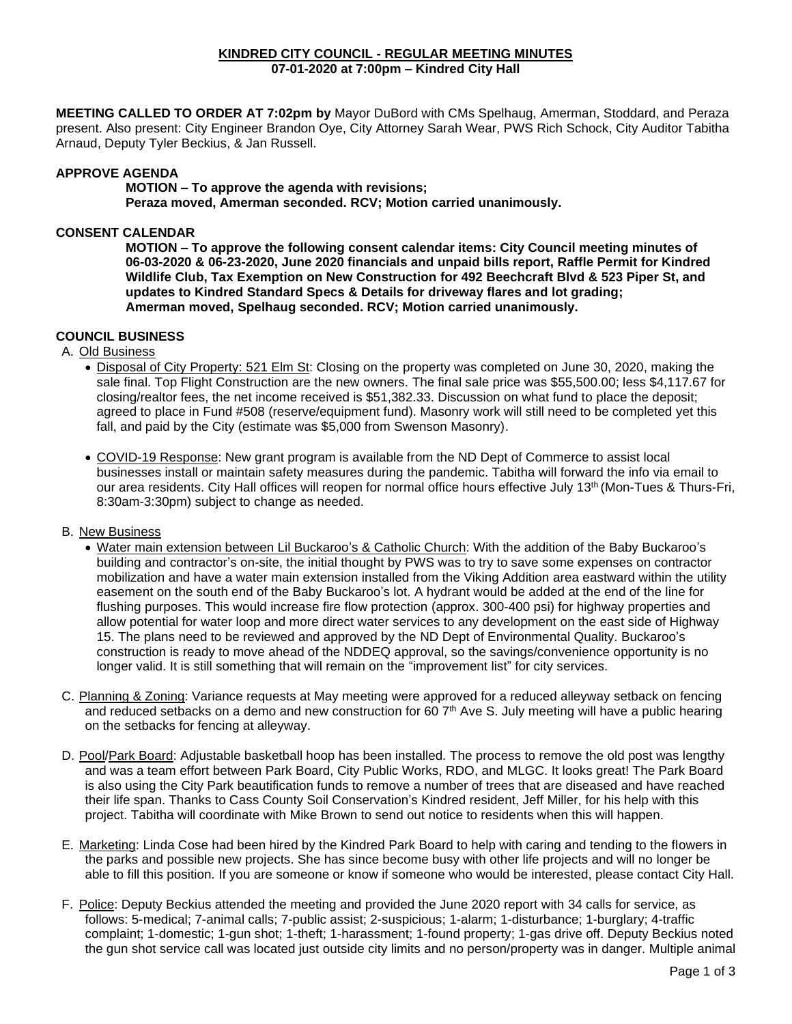#### **KINDRED CITY COUNCIL - REGULAR MEETING MINUTES 07-01-2020 at 7:00pm – Kindred City Hall**

**MEETING CALLED TO ORDER AT 7:02pm by** Mayor DuBord with CMs Spelhaug, Amerman, Stoddard, and Peraza present. Also present: City Engineer Brandon Oye, City Attorney Sarah Wear, PWS Rich Schock, City Auditor Tabitha Arnaud, Deputy Tyler Beckius, & Jan Russell.

### **APPROVE AGENDA**

**MOTION – To approve the agenda with revisions;**

**Peraza moved, Amerman seconded. RCV; Motion carried unanimously.** 

### **CONSENT CALENDAR**

**MOTION – To approve the following consent calendar items: City Council meeting minutes of 06-03-2020 & 06-23-2020, June 2020 financials and unpaid bills report, Raffle Permit for Kindred Wildlife Club, Tax Exemption on New Construction for 492 Beechcraft Blvd & 523 Piper St, and updates to Kindred Standard Specs & Details for driveway flares and lot grading; Amerman moved, Spelhaug seconded. RCV; Motion carried unanimously.**

## **COUNCIL BUSINESS**

A. Old Business

- Disposal of City Property: 521 Elm St: Closing on the property was completed on June 30, 2020, making the sale final. Top Flight Construction are the new owners. The final sale price was \$55,500.00; less \$4,117.67 for closing/realtor fees, the net income received is \$51,382.33. Discussion on what fund to place the deposit; agreed to place in Fund #508 (reserve/equipment fund). Masonry work will still need to be completed yet this fall, and paid by the City (estimate was \$5,000 from Swenson Masonry).
- COVID-19 Response: New grant program is available from the ND Dept of Commerce to assist local businesses install or maintain safety measures during the pandemic. Tabitha will forward the info via email to our area residents. City Hall offices will reopen for normal office hours effective July 13<sup>th</sup> (Mon-Tues & Thurs-Fri, 8:30am-3:30pm) subject to change as needed.

#### B. New Business

- Water main extension between Lil Buckaroo's & Catholic Church: With the addition of the Baby Buckaroo's building and contractor's on-site, the initial thought by PWS was to try to save some expenses on contractor mobilization and have a water main extension installed from the Viking Addition area eastward within the utility easement on the south end of the Baby Buckaroo's lot. A hydrant would be added at the end of the line for flushing purposes. This would increase fire flow protection (approx. 300-400 psi) for highway properties and allow potential for water loop and more direct water services to any development on the east side of Highway 15. The plans need to be reviewed and approved by the ND Dept of Environmental Quality. Buckaroo's construction is ready to move ahead of the NDDEQ approval, so the savings/convenience opportunity is no longer valid. It is still something that will remain on the "improvement list" for city services.
- C. Planning & Zoning: Variance requests at May meeting were approved for a reduced alleyway setback on fencing and reduced setbacks on a demo and new construction for 60 7<sup>th</sup> Ave S. July meeting will have a public hearing on the setbacks for fencing at alleyway.
- D. Pool/Park Board: Adjustable basketball hoop has been installed. The process to remove the old post was lengthy and was a team effort between Park Board, City Public Works, RDO, and MLGC. It looks great! The Park Board is also using the City Park beautification funds to remove a number of trees that are diseased and have reached their life span. Thanks to Cass County Soil Conservation's Kindred resident, Jeff Miller, for his help with this project. Tabitha will coordinate with Mike Brown to send out notice to residents when this will happen.
- E. Marketing: Linda Cose had been hired by the Kindred Park Board to help with caring and tending to the flowers in the parks and possible new projects. She has since become busy with other life projects and will no longer be able to fill this position. If you are someone or know if someone who would be interested, please contact City Hall.
- F. Police: Deputy Beckius attended the meeting and provided the June 2020 report with 34 calls for service, as follows: 5-medical; 7-animal calls; 7-public assist; 2-suspicious; 1-alarm; 1-disturbance; 1-burglary; 4-traffic complaint; 1-domestic; 1-gun shot; 1-theft; 1-harassment; 1-found property; 1-gas drive off. Deputy Beckius noted the gun shot service call was located just outside city limits and no person/property was in danger. Multiple animal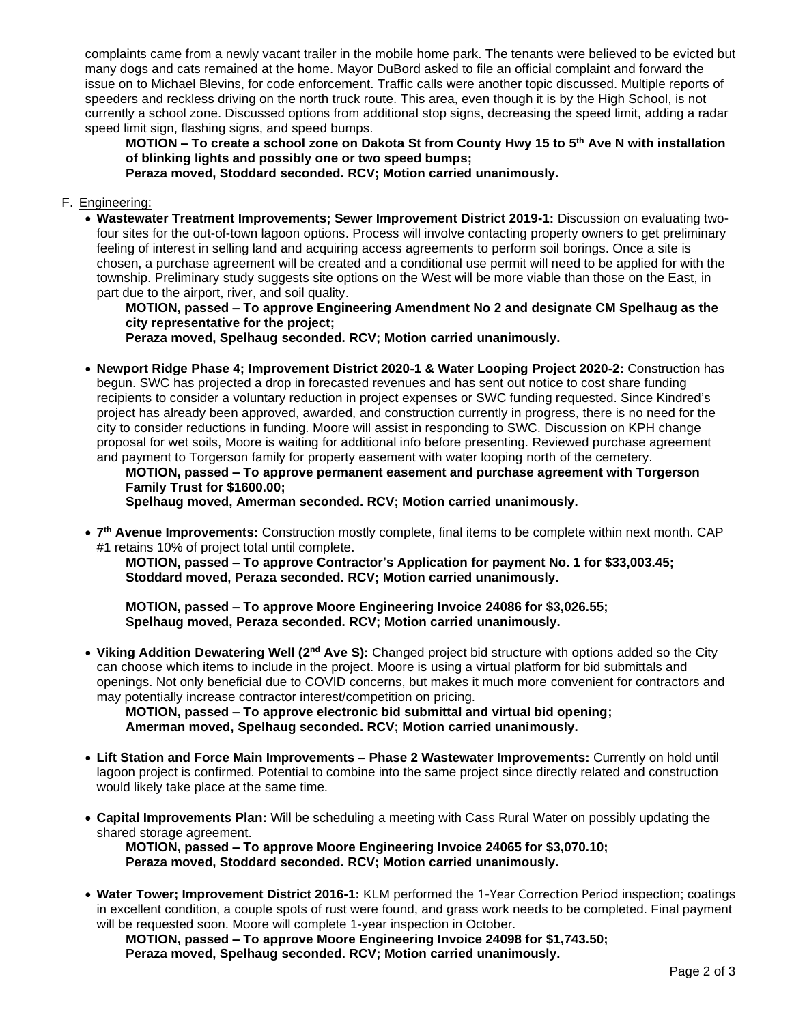complaints came from a newly vacant trailer in the mobile home park. The tenants were believed to be evicted but many dogs and cats remained at the home. Mayor DuBord asked to file an official complaint and forward the issue on to Michael Blevins, for code enforcement. Traffic calls were another topic discussed. Multiple reports of speeders and reckless driving on the north truck route. This area, even though it is by the High School, is not currently a school zone. Discussed options from additional stop signs, decreasing the speed limit, adding a radar speed limit sign, flashing signs, and speed bumps.

**MOTION – To create a school zone on Dakota St from County Hwy 15 to 5 th Ave N with installation of blinking lights and possibly one or two speed bumps; Peraza moved, Stoddard seconded. RCV; Motion carried unanimously.** 

### F. Engineering:

• **Wastewater Treatment Improvements; Sewer Improvement District 2019-1:** Discussion on evaluating twofour sites for the out-of-town lagoon options. Process will involve contacting property owners to get preliminary feeling of interest in selling land and acquiring access agreements to perform soil borings. Once a site is chosen, a purchase agreement will be created and a conditional use permit will need to be applied for with the township. Preliminary study suggests site options on the West will be more viable than those on the East, in part due to the airport, river, and soil quality.

**MOTION, passed – To approve Engineering Amendment No 2 and designate CM Spelhaug as the city representative for the project;**

**Peraza moved, Spelhaug seconded. RCV; Motion carried unanimously.**

• **Newport Ridge Phase 4; Improvement District 2020-1 & Water Looping Project 2020-2:** Construction has begun. SWC has projected a drop in forecasted revenues and has sent out notice to cost share funding recipients to consider a voluntary reduction in project expenses or SWC funding requested. Since Kindred's project has already been approved, awarded, and construction currently in progress, there is no need for the city to consider reductions in funding. Moore will assist in responding to SWC. Discussion on KPH change proposal for wet soils, Moore is waiting for additional info before presenting. Reviewed purchase agreement and payment to Torgerson family for property easement with water looping north of the cemetery.

**MOTION, passed – To approve permanent easement and purchase agreement with Torgerson Family Trust for \$1600.00;**

**Spelhaug moved, Amerman seconded. RCV; Motion carried unanimously.**

• **7 th Avenue Improvements:** Construction mostly complete, final items to be complete within next month. CAP #1 retains 10% of project total until complete.

**MOTION, passed – To approve Contractor's Application for payment No. 1 for \$33,003.45; Stoddard moved, Peraza seconded. RCV; Motion carried unanimously.**

**MOTION, passed – To approve Moore Engineering Invoice 24086 for \$3,026.55; Spelhaug moved, Peraza seconded. RCV; Motion carried unanimously.**

• **Viking Addition Dewatering Well (2nd Ave S):** Changed project bid structure with options added so the City can choose which items to include in the project. Moore is using a virtual platform for bid submittals and openings. Not only beneficial due to COVID concerns, but makes it much more convenient for contractors and may potentially increase contractor interest/competition on pricing.

**MOTION, passed – To approve electronic bid submittal and virtual bid opening; Amerman moved, Spelhaug seconded. RCV; Motion carried unanimously.** 

- **Lift Station and Force Main Improvements – Phase 2 Wastewater Improvements:** Currently on hold until lagoon project is confirmed. Potential to combine into the same project since directly related and construction would likely take place at the same time.
- **Capital Improvements Plan:** Will be scheduling a meeting with Cass Rural Water on possibly updating the shared storage agreement.

**MOTION, passed – To approve Moore Engineering Invoice 24065 for \$3,070.10; Peraza moved, Stoddard seconded. RCV; Motion carried unanimously.**

• **Water Tower; Improvement District 2016-1:** KLM performed the 1-Year Correction Period inspection; coatings in excellent condition, a couple spots of rust were found, and grass work needs to be completed. Final payment will be requested soon. Moore will complete 1-year inspection in October.

**MOTION, passed – To approve Moore Engineering Invoice 24098 for \$1,743.50; Peraza moved, Spelhaug seconded. RCV; Motion carried unanimously.**